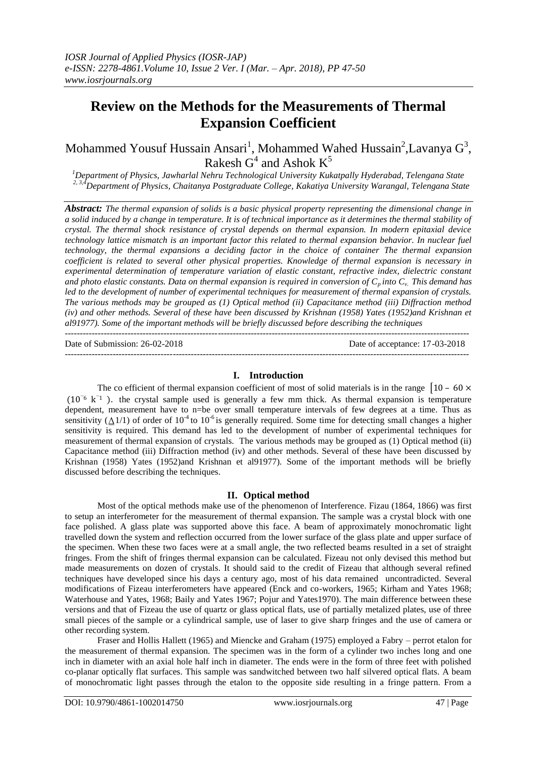# **Review on the Methods for the Measurements of Thermal Expansion Coefficient**

Mohammed Yousuf Hussain Ansari<sup>1</sup>, Mohammed Wahed Hussain<sup>2</sup>,Lavanya G<sup>3</sup>, Rakesh  $G^4$  and Ashok  $K^5$ 

*<sup>1</sup>Department of Physics, Jawharlal Nehru Technological University Kukatpally Hyderabad, Telengana State 2, 3,4Department of Physics, Chaitanya Postgraduate College, Kakatiya University Warangal, Telengana State*

*Abstract: The thermal expansion of solids is a basic physical property representing the dimensional change in a solid induced by a change in temperature. It is of technical importance as it determines the thermal stability of crystal. The thermal shock resistance of crystal depends on thermal expansion. In modern epitaxial device technology lattice mismatch is an important factor this related to thermal expansion behavior. In nuclear fuel technology, the thermal expansions a deciding factor in the choice of container The thermal expansion coefficient is related to several other physical properties. Knowledge of thermal expansion is necessary in experimental determination of temperature variation of elastic constant, refractive index, dielectric constant*  and photo elastic constants. Data on thermal expansion is required in conversion of  $C_p$  *into*  $C_v$ . This demand has *led to the development of number of experimental techniques for measurement of thermal expansion of crystals. The various methods may be grouped as (1) Optical method (ii) Capacitance method (iii) Diffraction method (iv) and other methods. Several of these have been discussed by Krishnan (1958) Yates (1952)and Krishnan et al91977). Some of the important methods will be briefly discussed before describing the techniques* ---------------------------------------------------------------------------------------------------------------------------------------

Date of Submission: 26-02-2018 Date of acceptance: 17-03-2018

 $-1\leq i\leq n-1$ 

# **I. Introduction**

The co efficient of thermal expansion coefficient of most of solid materials is in the range  $\begin{bmatrix} 10 & -60 \times \end{bmatrix}$ (10<sup>−</sup>6 k <sup>−</sup>1 ). the crystal sample used is generally a few mm thick. As thermal expansion is temperature dependent, measurement have to n=be over small temperature intervals of few degrees at a time. Thus as sensitivity ( $\Delta$ 1/1) of order of 10<sup>-4</sup> to 10<sup>-6</sup> is generally required. Some time for detecting small changes a higher sensitivity is required. This demand has led to the development of number of experimental techniques for measurement of thermal expansion of crystals. The various methods may be grouped as (1) Optical method (ii) Capacitance method (iii) Diffraction method (iv) and other methods. Several of these have been discussed by Krishnan (1958) Yates (1952)and Krishnan et al91977). Some of the important methods will be briefly discussed before describing the techniques.

## **II. Optical method**

Most of the optical methods make use of the phenomenon of Interference. Fizau (1864, 1866) was first to setup an interferometer for the measurement of thermal expansion. The sample was a crystal block with one face polished. A glass plate was supported above this face. A beam of approximately monochromatic light travelled down the system and reflection occurred from the lower surface of the glass plate and upper surface of the specimen. When these two faces were at a small angle, the two reflected beams resulted in a set of straight fringes. From the shift of fringes thermal expansion can be calculated. Fizeau not only devised this method but made measurements on dozen of crystals. It should said to the credit of Fizeau that although several refined techniques have developed since his days a century ago, most of his data remained uncontradicted. Several modifications of Fizeau interferometers have appeared (Enck and co-workers, 1965; Kirham and Yates 1968; Waterhouse and Yates, 1968; Baily and Yates 1967; Pojur and Yates1970). The main difference between these versions and that of Fizeau the use of quartz or glass optical flats, use of partially metalized plates, use of three small pieces of the sample or a cylindrical sample, use of laser to give sharp fringes and the use of camera or other recording system.

Fraser and Hollis Hallett (1965) and Miencke and Graham (1975) employed a Fabry – perrot etalon for the measurement of thermal expansion. The specimen was in the form of a cylinder two inches long and one inch in diameter with an axial hole half inch in diameter. The ends were in the form of three feet with polished co-planar optically flat surfaces. This sample was sandwitched between two half silvered optical flats. A beam of monochromatic light passes through the etalon to the opposite side resulting in a fringe pattern. From a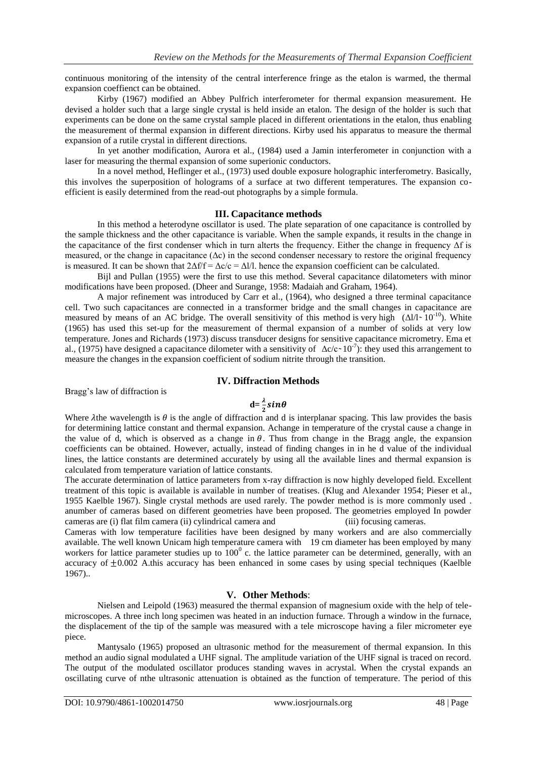continuous monitoring of the intensity of the central interference fringe as the etalon is warmed, the thermal expansion coeffienct can be obtained.

Kirby (1967) modified an Abbey Pulfrich interferometer for thermal expansion measurement. He devised a holder such that a large single crystal is held inside an etalon. The design of the holder is such that experiments can be done on the same crystal sample placed in different orientations in the etalon, thus enabling the measurement of thermal expansion in different directions. Kirby used his apparatus to measure the thermal expansion of a rutile crystal in different directions.

In yet another modification, Aurora et al., (1984) used a Jamin interferometer in conjunction with a laser for measuring the thermal expansion of some superionic conductors.

In a novel method, Heflinger et al., (1973) used double exposure holographic interferometry. Basically, this involves the superposition of holograms of a surface at two different temperatures. The expansion coefficient is easily determined from the read-out photographs by a simple formula.

### **III. Capacitance methods**

In this method a heterodyne oscillator is used. The plate separation of one capacitance is controlled by the sample thickness and the other capacitance is variable. When the sample expands, it results in the change in the capacitance of the first condenser which in turn alterts the frequency. Either the change in frequency Δf is measured, or the change in capacitance  $(\Delta c)$  in the second condenser necessary to restore the original frequency is measured. It can be shown that  $2\Delta f/f = \Delta c/c = \Delta I/l$ , hence the expansion coefficient can be calculated.

Bijl and Pullan (1955) were the first to use this method. Several capacitance dilatometers with minor modifications have been proposed. (Dheer and Surange, 1958: Madaiah and Graham, 1964).

A major refinement was introduced by Carr et al., (1964), who designed a three terminal capacitance cell. Two such capacitances are connected in a transformer bridge and the small changes in capacitance are measured by means of an AC bridge. The overall sensitivity of this method is very high  $(\Delta l/l \sim 10^{-10})$ . White (1965) has used this set-up for the measurement of thermal expansion of a number of solids at very low temperature. Jones and Richards (1973) discuss transducer designs for sensitive capacitance micrometry. Ema et al., (1975) have designed a capacitance dilometer with a sensitivity of  $\Delta c/c \sim 10^{-7}$ ): they used this arrangement to measure the changes in the expansion coefficient of sodium nitrite through the transition.

## **IV. Diffraction Methods**

Bragg's law of diffraction is

# $d=\frac{\lambda}{2}sin\theta$

Where  $\lambda$ the wavelength is  $\theta$  is the angle of diffraction and d is interplanar spacing. This law provides the basis for determining lattice constant and thermal expansion. Achange in temperature of the crystal cause a change in the value of d, which is observed as a change in  $\theta$ . Thus from change in the Bragg angle, the expansion coefficients can be obtained. However, actually, instead of finding changes in in he d value of the individual lines, the lattice constants are determined accurately by using all the available lines and thermal expansion is calculated from temperature variation of lattice constants.

The accurate determination of lattice parameters from x-ray diffraction is now highly developed field. Excellent treatment of this topic is available is available in number of treatises. (Klug and Alexander 1954; Pieser et al., 1955 Kaelble 1967). Single crystal methods are used rarely. The powder method is is more commonly used . anumber of cameras based on different geometries have been proposed. The geometries employed In powder cameras are (i) flat film camera (ii) cylindrical camera and (iii) focusing cameras.

Cameras with low temperature facilities have been designed by many workers and are also commercially available. The well known Unicam high temperature camera with 19 cm diameter has been employed by many workers for lattice parameter studies up to  $100^{\circ}$  c. the lattice parameter can be determined, generally, with an accuracy of  $\pm 0.002$  A.this accuracy has been enhanced in some cases by using special techniques (Kaelble 1967)..

### **V. Other Methods**:

Nielsen and Leipold (1963) measured the thermal expansion of magnesium oxide with the help of telemicroscopes. A three inch long specimen was heated in an induction furnace. Through a window in the furnace, the displacement of the tip of the sample was measured with a tele microscope having a filer micrometer eye piece.

Mantysalo (1965) proposed an ultrasonic method for the measurement of thermal expansion. In this method an audio signal modulated a UHF signal. The amplitude variation of the UHF signal is traced on record. The output of the modulated oscillator produces standing waves in acrystal. When the crystal expands an oscillating curve of nthe ultrasonic attenuation is obtained as the function of temperature. The period of this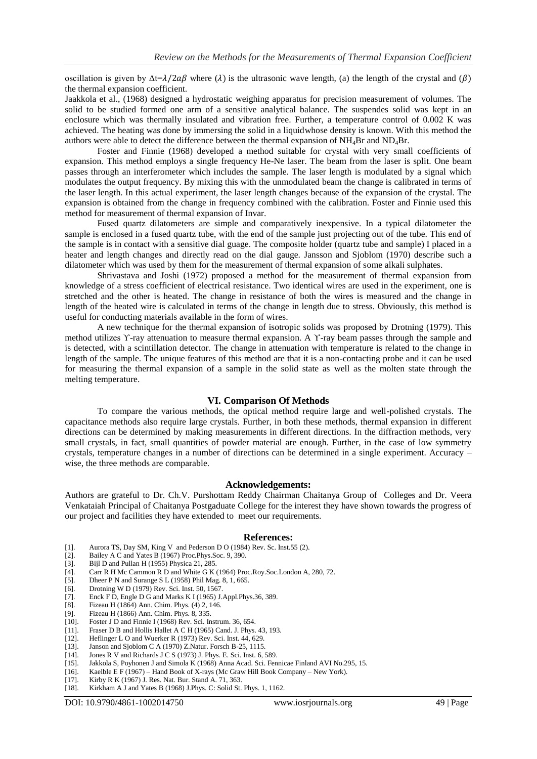oscillation is given by  $\Delta t = \lambda/2 a \beta$  where ( $\lambda$ ) is the ultrasonic wave length, (a) the length of the crystal and ( $\beta$ ) the thermal expansion coefficient.

Jaakkola et al., (1968) designed a hydrostatic weighing apparatus for precision measurement of volumes. The solid to be studied formed one arm of a sensitive analytical balance. The suspendes solid was kept in an enclosure which was thermally insulated and vibration free. Further, a temperature control of 0.002 K was achieved. The heating was done by immersing the solid in a liquidwhose density is known. With this method the authors were able to detect the difference between the thermal expansion of  $NH<sub>4</sub>Br$  and  $ND<sub>4</sub>Br$ .

Foster and Finnie (1968) developed a method suitable for crystal with very small coefficients of expansion. This method employs a single frequency He-Ne laser. The beam from the laser is split. One beam passes through an interferometer which includes the sample. The laser length is modulated by a signal which modulates the output frequency. By mixing this with the unmodulated beam the change is calibrated in terms of the laser length. In this actual experiment, the laser length changes because of the expansion of the crystal. The expansion is obtained from the change in frequency combined with the calibration. Foster and Finnie used this method for measurement of thermal expansion of Invar.

Fused quartz dilatometers are simple and comparatively inexpensive. In a typical dilatometer the sample is enclosed in a fused quartz tube, with the end of the sample just projecting out of the tube. This end of the sample is in contact with a sensitive dial guage. The composite holder (quartz tube and sample) I placed in a heater and length changes and directly read on the dial gauge. Jansson and Sjoblom (1970) describe such a dilatometer which was used by them for the measurement of thermal expansion of some alkali sulphates.

Shrivastava and Joshi (1972) proposed a method for the measurement of thermal expansion from knowledge of a stress coefficient of electrical resistance. Two identical wires are used in the experiment, one is stretched and the other is heated. The change in resistance of both the wires is measured and the change in length of the heated wire is calculated in terms of the change in length due to stress. Obviously, this method is useful for conducting materials available in the form of wires.

A new technique for the thermal expansion of isotropic solids was proposed by Drotning (1979). This method utilizes *Υ*-ray attenuation to measure thermal expansion. A *Υ*-ray beam passes through the sample and is detected, with a scintillation detector. The change in attenuation with temperature is related to the change in length of the sample. The unique features of this method are that it is a non-contacting probe and it can be used for measuring the thermal expansion of a sample in the solid state as well as the molten state through the melting temperature.

### **VI. Comparison Of Methods**

To compare the various methods, the optical method require large and well-polished crystals. The capacitance methods also require large crystals. Further, in both these methods, thermal expansion in different directions can be determined by making measurements in different directions. In the diffraction methods, very small crystals, in fact, small quantities of powder material are enough. Further, in the case of low symmetry crystals, temperature changes in a number of directions can be determined in a single experiment. Accuracy – wise, the three methods are comparable.

#### **Acknowledgements:**

Authors are grateful to Dr. Ch.V. Purshottam Reddy Chairman Chaitanya Group of Colleges and Dr. Veera Venkataiah Principal of Chaitanya Postgaduate College for the interest they have shown towards the progress of our project and facilities they have extended to meet our requirements.

#### **References:**

- [1]. Aurora TS, Day SM, King V and Pederson D O (1984) Rev. Sc. Inst.55 (2).
- Bailey A C and Yates B (1967) Proc.Phys.Soc. 9, 390.
- [3]. Bijl D and Pullan H (1955) Physica 21, 285.
- [4]. Carr R H Mc Cammon R D and White G K (1964) Proc.Roy.Soc.London A, 280, 72. [5]. Dheer P N and Surange S L (1958) Phil Mag. 8, 1, 665.
- Dheer P N and Surange S L (1958) Phil Mag. 8, 1, 665.
- [6]. Drotning W D (1979) Rev. Sci. Inst. 50, 1567.
- [7]. Enck F D, Engle D G and Marks K I (1965) J.Appl. Phys. 36, 389. [8]. Fizeau H (1864) Ann. Chim. Phys. (4) 2, 146.
- Fizeau H (1864) Ann. Chim. Phys. (4) 2, 146.
- [9]. Fizeau H (1866) Ann. Chim. Phys. 8, 335.
- [10]. Foster J D and Finnie I (1968) Rev. Sci. Instrum. 36, 654.
- [11]. Fraser D B and Hollis Hallet A C H (1965) Cand. J. Phys. 43, 193.
- Heflinger L O and Wuerker R (1973) Rev. Sci. Inst. 44, 629.
- [13]. Janson and Sjoblom C A (1970) Z.Natur. Forsch B-25, 1115.
- [14]. Jones R V and Richards J C S (1973) J. Phys. E. Sci. Inst. 6, 589.
- [15]. Jakkola S, Poyhonen J and Simola K (1968) Anna Acad. Sci. Fennicae Finland AVI No.295, 15.
- [16]. Kaelble E F (1967) Hand Book of X-rays (Mc Graw Hill Book Company New York).
- [17]. Kirby R K (1967) J. Res. Nat. Bur. Stand A. 71, 363.<br>[18]. Kirkham A J and Yates B (1968) J.Phys. C: Solid St.
- Kirkham A J and Yates B (1968) J.Phys. C: Solid St. Phys. 1, 1162.